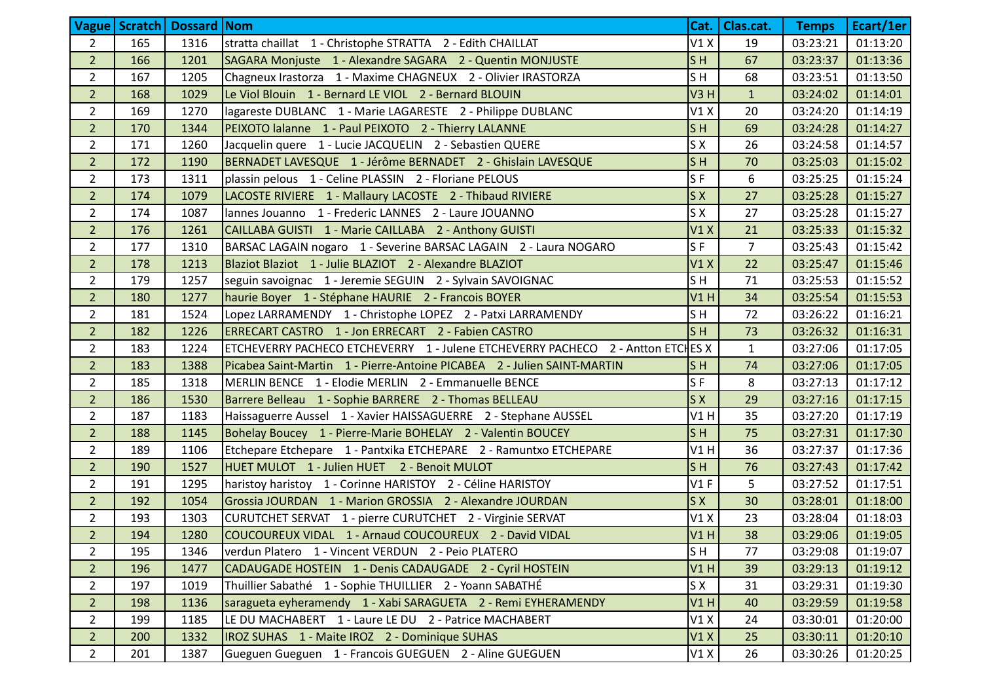|                |     | <b>Vague   Scratch   Dossard   Nom</b> |                                                                                 | Cat.             | Clas.cat.      | <b>Temps</b> | Ecart/1er |
|----------------|-----|----------------------------------------|---------------------------------------------------------------------------------|------------------|----------------|--------------|-----------|
| $\overline{2}$ | 165 | 1316                                   | stratta chaillat 1 - Christophe STRATTA 2 - Edith CHAILLAT                      | V1X              | 19             | 03:23:21     | 01:13:20  |
| 2 <sup>1</sup> | 166 | 1201                                   | SAGARA Monjuste 1 - Alexandre SAGARA 2 - Quentin MONJUSTE                       | S <sub>H</sub>   | 67             | 03:23:37     | 01:13:36  |
| $2^{\circ}$    | 167 | 1205                                   | Chagneux Irastorza 1 - Maxime CHAGNEUX 2 - Olivier IRASTORZA                    | SH               | 68             | 03:23:51     | 01:13:50  |
| 2 <sup>1</sup> | 168 | 1029                                   | Le Viol Blouin 1 - Bernard LE VIOL 2 - Bernard BLOUIN                           | V <sub>3</sub> H | $\mathbf{1}$   | 03:24:02     | 01:14:01  |
| $\overline{2}$ | 169 | 1270                                   | lagareste DUBLANC 1 - Marie LAGARESTE 2 - Philippe DUBLANC                      | V1X              | 20             | 03:24:20     | 01:14:19  |
| 2 <sup>1</sup> | 170 | 1344                                   | PEIXOTO lalanne 1 - Paul PEIXOTO 2 - Thierry LALANNE                            | ls H             | 69             | 03:24:28     | 01:14:27  |
| $\overline{2}$ | 171 | 1260                                   | Jacquelin quere 1 - Lucie JACQUELIN 2 - Sebastien QUERE                         | S X              | 26             | 03:24:58     | 01:14:57  |
| 2 <sup>1</sup> | 172 | 1190                                   | BERNADET LAVESQUE 1 - Jérôme BERNADET 2 - Ghislain LAVESQUE                     | S <sub>H</sub>   | 70             | 03:25:03     | 01:15:02  |
| $2^{\circ}$    | 173 | 1311                                   | plassin pelous 1 - Celine PLASSIN 2 - Floriane PELOUS                           | S <sub>F</sub>   | 6              | 03:25:25     | 01:15:24  |
| 2 <sup>1</sup> | 174 | 1079                                   | LACOSTE RIVIERE 1 - Mallaury LACOSTE 2 - Thibaud RIVIERE                        | S X              | 27             | 03:25:28     | 01:15:27  |
| $\overline{2}$ | 174 | 1087                                   | lannes Jouanno 1 - Frederic LANNES 2 - Laure JOUANNO                            | S X              | 27             | 03:25:28     | 01:15:27  |
| 2 <sup>1</sup> | 176 | 1261                                   | CAILLABA GUISTI 1 - Marie CAILLABA 2 - Anthony GUISTI                           | V1X              | 21             | 03:25:33     | 01:15:32  |
| $\overline{2}$ | 177 | 1310                                   | BARSAC LAGAIN nogaro 1 - Severine BARSAC LAGAIN 2 - Laura NOGARO                | S <sub>F</sub>   | $\overline{7}$ | 03:25:43     | 01:15:42  |
| 2 <sup>1</sup> | 178 | 1213                                   | Blaziot Blaziot 1 - Julie BLAZIOT 2 - Alexandre BLAZIOT                         | V1X              | 22             | 03:25:47     | 01:15:46  |
| $2^{\circ}$    | 179 | 1257                                   | seguin savoignac 1 - Jeremie SEGUIN 2 - Sylvain SAVOIGNAC                       | S <sub>H</sub>   | 71             | 03:25:53     | 01:15:52  |
| $\overline{2}$ | 180 | 1277                                   | haurie Boyer 1 - Stéphane HAURIE 2 - Francois BOYER                             | V1H              | 34             | 03:25:54     | 01:15:53  |
| $2^{\circ}$    | 181 | 1524                                   | Lopez LARRAMENDY 1 - Christophe LOPEZ 2 - Patxi LARRAMENDY                      | SH               | 72             | 03:26:22     | 01:16:21  |
| 2 <sup>1</sup> | 182 | 1226                                   | ERRECART CASTRO 1 - Jon ERRECART 2 - Fabien CASTRO                              | ls H             | 73             | 03:26:32     | 01:16:31  |
| $\overline{2}$ | 183 | 1224                                   | ETCHEVERRY PACHECO ETCHEVERRY 1 - Julene ETCHEVERRY PACHECO 2 - Antton ETCHES X |                  | $\mathbf{1}$   | 03:27:06     | 01:17:05  |
| 2 <sup>1</sup> | 183 | 1388                                   | Picabea Saint-Martin 1 - Pierre-Antoine PICABEA 2 - Julien SAINT-MARTIN         | ls H             | 74             | 03:27:06     | 01:17:05  |
| $\overline{2}$ | 185 | 1318                                   | MERLIN BENCE 1 - Elodie MERLIN 2 - Emmanuelle BENCE                             | S <sub>F</sub>   | 8              | 03:27:13     | 01:17:12  |
| 2 <sup>1</sup> | 186 | 1530                                   | Barrere Belleau 1 - Sophie BARRERE 2 - Thomas BELLEAU                           | S X              | 29             | 03:27:16     | 01:17:15  |
| $\overline{2}$ | 187 | 1183                                   | Haissaguerre Aussel 1 - Xavier HAISSAGUERRE 2 - Stephane AUSSEL                 | V1H              | 35             | 03:27:20     | 01:17:19  |
| 2 <sup>1</sup> | 188 | 1145                                   | Bohelay Boucey 1 - Pierre-Marie BOHELAY 2 - Valentin BOUCEY                     | S <sub>H</sub>   | 75             | 03:27:31     | 01:17:30  |
| $\overline{2}$ | 189 | 1106                                   | Etchepare Etchepare 1 - Pantxika ETCHEPARE 2 - Ramuntxo ETCHEPARE               | V1H              | 36             | 03:27:37     | 01:17:36  |
| 2 <sup>1</sup> | 190 | 1527                                   | HUET MULOT 1 - Julien HUET 2 - Benoit MULOT                                     | S <sub>H</sub>   | 76             | 03:27:43     | 01:17:42  |
| $\overline{2}$ | 191 | 1295                                   | haristoy haristoy 1 - Corinne HARISTOY 2 - Céline HARISTOY                      | V1F              | 5              | 03:27:52     | 01:17:51  |
| 2 <sup>1</sup> | 192 | 1054                                   | Grossia JOURDAN 1 - Marion GROSSIA 2 - Alexandre JOURDAN                        | S X              | 30             | 03:28:01     | 01:18:00  |
| $\overline{2}$ | 193 | 1303                                   | CURUTCHET SERVAT 1 - pierre CURUTCHET 2 - Virginie SERVAT                       | V1X              | 23             | 03:28:04     | 01:18:03  |
| $\overline{2}$ | 194 | 1280                                   | COUCOUREUX VIDAL 1 - Arnaud COUCOUREUX 2 - David VIDAL                          | VIH              | 38             | 03:29:06     | 01:19:05  |
| $\overline{2}$ | 195 | 1346                                   | verdun Platero 1 - Vincent VERDUN 2 - Peio PLATERO                              | ls H             | 77             | 03:29:08     | 01:19:07  |
| 2 <sup>2</sup> | 196 | 1477                                   | CADAUGADE HOSTEIN 1 - Denis CADAUGADE 2 - Cyril HOSTEIN                         | <b>V1 H</b>      | 39             | 03:29:13     | 01:19:12  |
| $\overline{2}$ | 197 | 1019                                   | Thuillier Sabathé 1 - Sophie THUILLIER 2 - Yoann SABATHÉ                        | S X              | 31             | 03:29:31     | 01:19:30  |
| 2 <sup>1</sup> | 198 | 1136                                   | saragueta eyheramendy 1 - Xabi SARAGUETA 2 - Remi EYHERAMENDY                   | V1H              | 40             | 03:29:59     | 01:19:58  |
| $\overline{2}$ | 199 | 1185                                   | LE DU MACHABERT 1 - Laure LE DU 2 - Patrice MACHABERT                           | V1X              | 24             | 03:30:01     | 01:20:00  |
| 2 <sup>1</sup> | 200 | 1332                                   | IROZ SUHAS 1 - Maite IROZ 2 - Dominique SUHAS                                   | V1X              | 25             | 03:30:11     | 01:20:10  |
| $\overline{2}$ | 201 | 1387                                   | Gueguen Gueguen 1 - Francois GUEGUEN 2 - Aline GUEGUEN                          | V1X              | 26             | 03:30:26     | 01:20:25  |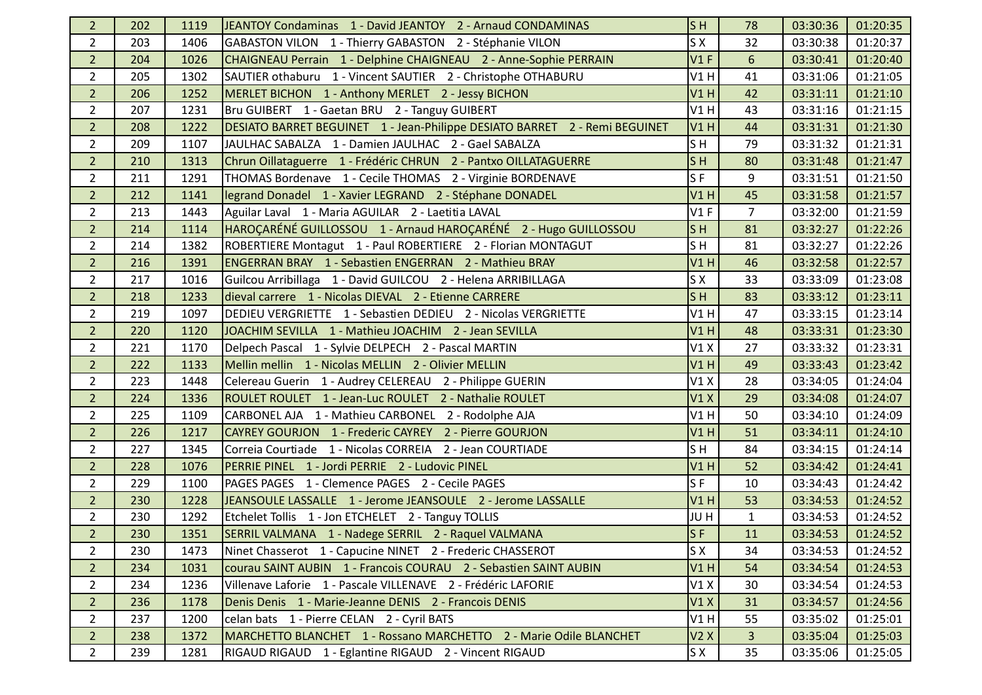| 2 <sup>1</sup> | 202 | 1119 | JEANTOY Condaminas 1 - David JEANTOY 2 - Arnaud CONDAMINAS                 | S <sub>H</sub> | 78             | 03:30:36 | 01:20:35 |
|----------------|-----|------|----------------------------------------------------------------------------|----------------|----------------|----------|----------|
| $\overline{2}$ | 203 | 1406 | GABASTON VILON 1 - Thierry GABASTON 2 - Stéphanie VILON                    | S X            | 32             | 03:30:38 | 01:20:37 |
| 2 <sup>1</sup> | 204 | 1026 | CHAIGNEAU Perrain 1 - Delphine CHAIGNEAU 2 - Anne-Sophie PERRAIN           | V1F            | 6              | 03:30:41 | 01:20:40 |
| $\overline{2}$ | 205 | 1302 | SAUTIER othaburu 1 - Vincent SAUTIER 2 - Christophe OTHABURU               | V1H            | 41             | 03:31:06 | 01:21:05 |
| 2 <sup>1</sup> | 206 | 1252 | MERLET BICHON 1 - Anthony MERLET 2 - Jessy BICHON                          | V1H            | 42             | 03:31:11 | 01:21:10 |
| $\overline{2}$ | 207 | 1231 | Bru GUIBERT 1 - Gaetan BRU 2 - Tanguy GUIBERT                              | V1H            | 43             | 03:31:16 | 01:21:15 |
| 2 <sup>2</sup> | 208 | 1222 | DESIATO BARRET BEGUINET 1 - Jean-Philippe DESIATO BARRET 2 - Remi BEGUINET | V1H            | 44             | 03:31:31 | 01:21:30 |
| $\overline{2}$ | 209 | 1107 | JAULHAC SABALZA 1 - Damien JAULHAC 2 - Gael SABALZA                        | SH             | 79             | 03:31:32 | 01:21:31 |
| 2 <sup>1</sup> | 210 | 1313 | Chrun Oillataguerre 1 - Frédéric CHRUN 2 - Pantxo OILLATAGUERRE            | S <sub>H</sub> | 80             | 03:31:48 | 01:21:47 |
| $\overline{2}$ | 211 | 1291 | THOMAS Bordenave 1 - Cecile THOMAS 2 - Virginie BORDENAVE                  | S <sub>F</sub> | 9              | 03:31:51 | 01:21:50 |
| 2 <sup>2</sup> | 212 | 1141 | legrand Donadel 1 - Xavier LEGRAND 2 - Stéphane DONADEL                    | V1H            | 45             | 03:31:58 | 01:21:57 |
| $\overline{2}$ | 213 | 1443 | Aguilar Laval 1 - Maria AGUILAR 2 - Laetitia LAVAL                         | V1F            | $\overline{7}$ | 03:32:00 | 01:21:59 |
| 2 <sup>2</sup> | 214 | 1114 | HAROÇARÉNÉ GUILLOSSOU 1 - Arnaud HAROÇARÉNÉ 2 - Hugo GUILLOSSOU            | S <sub>H</sub> | 81             | 03:32:27 | 01:22:26 |
| $\overline{2}$ | 214 | 1382 | ROBERTIERE Montagut 1 - Paul ROBERTIERE 2 - Florian MONTAGUT               | SH             | 81             | 03:32:27 | 01:22:26 |
| $\overline{2}$ | 216 | 1391 | ENGERRAN BRAY 1 - Sebastien ENGERRAN 2 - Mathieu BRAY                      | V1H            | 46             | 03:32:58 | 01:22:57 |
| $\overline{2}$ | 217 | 1016 | Guilcou Arribillaga 1 - David GUILCOU 2 - Helena ARRIBILLAGA               | SX             | 33             | 03:33:09 | 01:23:08 |
| 2 <sup>1</sup> | 218 | 1233 | dieval carrere 1 - Nicolas DIEVAL 2 - Etienne CARRERE                      | S <sub>H</sub> | 83             | 03:33:12 | 01:23:11 |
| $\overline{2}$ | 219 | 1097 | DEDIEU VERGRIETTE 1 - Sebastien DEDIEU 2 - Nicolas VERGRIETTE              | V1H            | 47             | 03:33:15 | 01:23:14 |
| 2 <sup>1</sup> | 220 | 1120 | JOACHIM SEVILLA 1 - Mathieu JOACHIM 2 - Jean SEVILLA                       | V1H            | 48             | 03:33:31 | 01:23:30 |
| $\overline{2}$ | 221 | 1170 | Delpech Pascal 1 - Sylvie DELPECH 2 - Pascal MARTIN                        | V1X            | 27             | 03:33:32 | 01:23:31 |
| 2 <sup>1</sup> | 222 | 1133 | Mellin mellin 1 - Nicolas MELLIN 2 - Olivier MELLIN                        | V1H            | 49             | 03:33:43 | 01:23:42 |
| $\overline{2}$ | 223 | 1448 | Celereau Guerin 1 - Audrey CELEREAU 2 - Philippe GUERIN                    | V1X            | 28             | 03:34:05 | 01:24:04 |
| 2 <sup>1</sup> | 224 | 1336 | ROULET ROULET 1 - Jean-Luc ROULET 2 - Nathalie ROULET                      | V1X            | 29             | 03:34:08 | 01:24:07 |
| $\overline{2}$ | 225 | 1109 | CARBONEL AJA 1 - Mathieu CARBONEL 2 - Rodolphe AJA                         | V1H            | 50             | 03:34:10 | 01:24:09 |
| 2 <sup>1</sup> | 226 | 1217 | CAYREY GOURJON 1 - Frederic CAYREY 2 - Pierre GOURJON                      | V1H            | 51             | 03:34:11 | 01:24:10 |
| $\overline{2}$ | 227 | 1345 | Correia Courtiade 1 - Nicolas CORREIA 2 - Jean COURTIADE                   | SH             | 84             | 03:34:15 | 01:24:14 |
| $\overline{2}$ | 228 | 1076 | PERRIE PINEL 1 - Jordi PERRIE 2 - Ludovic PINEL                            | V1H            | 52             | 03:34:42 | 01:24:41 |
| $\overline{2}$ | 229 | 1100 | PAGES PAGES 1 - Clemence PAGES 2 - Cecile PAGES                            | SF             | 10             | 03:34:43 | 01:24:42 |
| 2 <sup>1</sup> | 230 | 1228 | JEANSOULE LASSALLE 1 - Jerome JEANSOULE 2 - Jerome LASSALLE                | V1H            | 53             | 03:34:53 | 01:24:52 |
| $\overline{2}$ | 230 | 1292 | Etchelet Tollis 1 - Jon ETCHELET 2 - Tanguy TOLLIS                         | JU H           | $\mathbf{1}$   | 03:34:53 | 01:24:52 |
| $\overline{2}$ | 230 | 1351 | SERRIL VALMANA 1 - Nadege SERRIL 2 - Raquel VALMANA                        | SF             | 11             | 03:34:53 | 01:24:52 |
| $\mathbf{2}$   | 230 | 1473 | Ninet Chasserot 1 - Capucine NINET 2 - Frederic CHASSEROT                  | S X            | 34             | 03:34:53 | 01:24:52 |
| $\overline{2}$ | 234 | 1031 | courau SAINT AUBIN 1 - Francois COURAU 2 - Sebastien SAINT AUBIN           | V1H            | 54             | 03:34:54 | 01:24:53 |
| $\overline{2}$ | 234 | 1236 | Villenave Laforie 1 - Pascale VILLENAVE 2 - Frédéric LAFORIE               | V1X            | 30             | 03:34:54 | 01:24:53 |
| 2 <sup>2</sup> | 236 | 1178 | Denis Denis 1 - Marie-Jeanne DENIS 2 - Francois DENIS                      | V1X            | 31             | 03:34:57 | 01:24:56 |
| $\overline{2}$ | 237 | 1200 | celan bats 1 - Pierre CELAN 2 - Cyril BATS                                 | V1H            | 55             | 03:35:02 | 01:25:01 |
| 2 <sup>2</sup> | 238 | 1372 | MARCHETTO BLANCHET 1 - Rossano MARCHETTO 2 - Marie Odile BLANCHET          | V2X            | 3              | 03:35:04 | 01:25:03 |
| $\overline{2}$ | 239 | 1281 | RIGAUD RIGAUD 1 - Eglantine RIGAUD 2 - Vincent RIGAUD                      | S X            | 35             | 03:35:06 | 01:25:05 |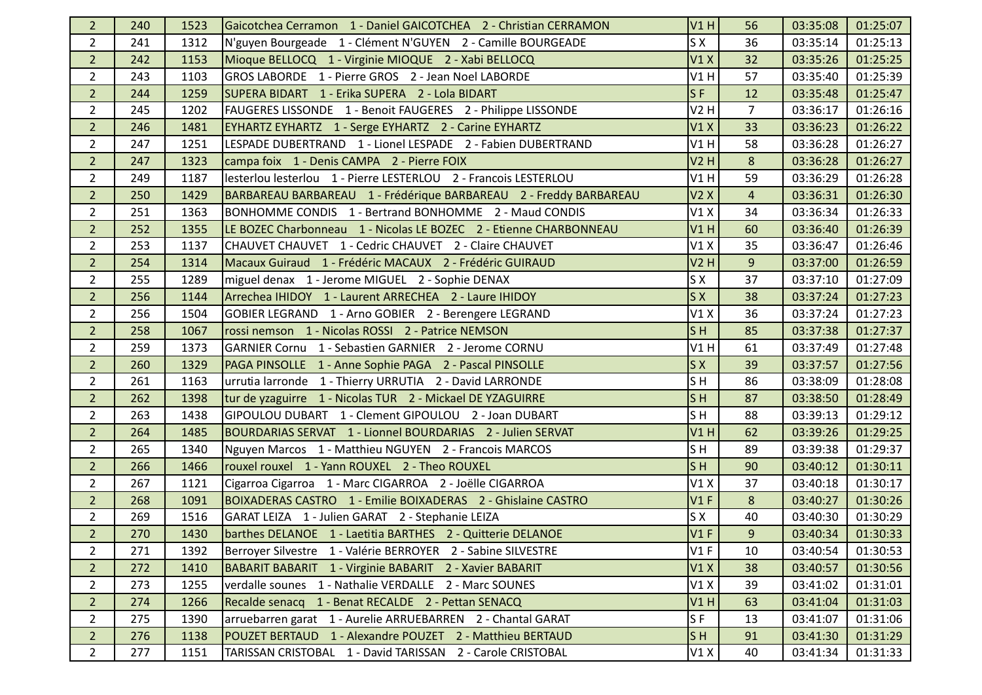| $\overline{2}$ | 240 | 1523 | Gaicotchea Cerramon 1 - Daniel GAICOTCHEA 2 - Christian CERRAMON  | V1H            | 56             | 03:35:08 | 01:25:07 |
|----------------|-----|------|-------------------------------------------------------------------|----------------|----------------|----------|----------|
| $\overline{2}$ | 241 | 1312 | N'guyen Bourgeade 1 - Clément N'GUYEN 2 - Camille BOURGEADE       | S X            | 36             | 03:35:14 | 01:25:13 |
| $\overline{2}$ | 242 | 1153 | Mioque BELLOCQ 1 - Virginie MIOQUE 2 - Xabi BELLOCQ               | V1X            | 32             | 03:35:26 | 01:25:25 |
| $\overline{2}$ | 243 | 1103 | GROS LABORDE 1 - Pierre GROS 2 - Jean Noel LABORDE                | V1H            | 57             | 03:35:40 | 01:25:39 |
| $\overline{2}$ | 244 | 1259 | SUPERA BIDART 1 - Erika SUPERA 2 - Lola BIDART                    | $S$ F          | 12             | 03:35:48 | 01:25:47 |
| $\overline{2}$ | 245 | 1202 | FAUGERES LISSONDE 1 - Benoit FAUGERES 2 - Philippe LISSONDE       | V2 H           | 7              | 03:36:17 | 01:26:16 |
| $\overline{2}$ | 246 | 1481 | EYHARTZ EYHARTZ 1 - Serge EYHARTZ 2 - Carine EYHARTZ              | V1X            | 33             | 03:36:23 | 01:26:22 |
| $\overline{2}$ | 247 | 1251 | LESPADE DUBERTRAND 1 - Lionel LESPADE 2 - Fabien DUBERTRAND       | V1H            | 58             | 03:36:28 | 01:26:27 |
| $\overline{2}$ | 247 | 1323 | campa foix 1 - Denis CAMPA 2 - Pierre FOIX                        | <b>V2 H</b>    | 8              | 03:36:28 | 01:26:27 |
| $\overline{2}$ | 249 | 1187 | lesterlou lesterlou 1 - Pierre LESTERLOU 2 - Francois LESTERLOU   | V1H            | 59             | 03:36:29 | 01:26:28 |
| $\overline{2}$ | 250 | 1429 | BARBAREAU BARBAREAU 1 - Frédérique BARBAREAU 2 - Freddy BARBAREAU | V2X            | $\overline{a}$ | 03:36:31 | 01:26:30 |
| $\overline{2}$ | 251 | 1363 | BONHOMME CONDIS 1 - Bertrand BONHOMME 2 - Maud CONDIS             | V1X            | 34             | 03:36:34 | 01:26:33 |
| $\overline{2}$ | 252 | 1355 | LE BOZEC Charbonneau 1 - Nicolas LE BOZEC 2 - Etienne CHARBONNEAU | V1H            | 60             | 03:36:40 | 01:26:39 |
| $\overline{2}$ | 253 | 1137 | CHAUVET CHAUVET 1 - Cedric CHAUVET 2 - Claire CHAUVET             | V1X            | 35             | 03:36:47 | 01:26:46 |
| $\overline{2}$ | 254 | 1314 | Macaux Guiraud 1 - Frédéric MACAUX 2 - Frédéric GUIRAUD           | V2H            | 9              | 03:37:00 | 01:26:59 |
| $\overline{2}$ | 255 | 1289 | miguel denax 1 - Jerome MIGUEL 2 - Sophie DENAX                   | S X            | 37             | 03:37:10 | 01:27:09 |
| 2 <sup>1</sup> | 256 | 1144 | Arrechea IHIDOY 1 - Laurent ARRECHEA 2 - Laure IHIDOY             | S X            | 38             | 03:37:24 | 01:27:23 |
| $\overline{2}$ | 256 | 1504 | GOBIER LEGRAND 1 - Arno GOBIER 2 - Berengere LEGRAND              | V1X            | 36             | 03:37:24 | 01:27:23 |
| 2 <sup>2</sup> | 258 | 1067 | rossi nemson 1 - Nicolas ROSSI 2 - Patrice NEMSON                 | S <sub>H</sub> | 85             | 03:37:38 | 01:27:37 |
| $\overline{2}$ | 259 | 1373 | GARNIER Cornu 1 - Sebastien GARNIER 2 - Jerome CORNU              | V1H            | 61             | 03:37:49 | 01:27:48 |
| 2 <sup>2</sup> | 260 | 1329 | PAGA PINSOLLE 1 - Anne Sophie PAGA 2 - Pascal PINSOLLE            | S X            | 39             | 03:37:57 | 01:27:56 |
| $\overline{2}$ | 261 | 1163 | urrutia larronde 1 - Thierry URRUTIA 2 - David LARRONDE           | SH             | 86             | 03:38:09 | 01:28:08 |
| 2 <sup>1</sup> | 262 | 1398 | tur de yzaguirre 1 - Nicolas TUR 2 - Mickael DE YZAGUIRRE         | S <sub>H</sub> | 87             | 03:38:50 | 01:28:49 |
| $\overline{2}$ | 263 | 1438 | GIPOULOU DUBART 1 - Clement GIPOULOU 2 - Joan DUBART              | S <sub>H</sub> | 88             | 03:39:13 | 01:29:12 |
| $\overline{2}$ | 264 | 1485 | BOURDARIAS SERVAT 1 - Lionnel BOURDARIAS 2 - Julien SERVAT        | V1H            | 62             | 03:39:26 | 01:29:25 |
| $\overline{2}$ | 265 | 1340 | Nguyen Marcos 1 - Matthieu NGUYEN 2 - Francois MARCOS             | S <sub>H</sub> | 89             | 03:39:38 | 01:29:37 |
| $\overline{2}$ | 266 | 1466 | rouxel rouxel 1 - Yann ROUXEL 2 - Theo ROUXEL                     | S <sub>H</sub> | 90             | 03:40:12 | 01:30:11 |
| $\overline{2}$ | 267 | 1121 | Cigarroa Cigarroa 1 - Marc CIGARROA 2 - Joëlle CIGARROA           | V1X            | 37             | 03:40:18 | 01:30:17 |
| 2 <sup>2</sup> | 268 | 1091 | BOIXADERAS CASTRO 1 - Emilie BOIXADERAS 2 - Ghislaine CASTRO      | V1F            | 8              | 03:40:27 | 01:30:26 |
| $\overline{2}$ | 269 | 1516 | GARAT LEIZA 1 - Julien GARAT 2 - Stephanie LEIZA                  | S X            | 40             | 03:40:30 | 01:30:29 |
| $\overline{2}$ | 270 | 1430 | barthes DELANOE 1 - Laetitia BARTHES 2 - Quitterie DELANOE        | $VI$ F         | 9              | 03:40:34 | 01:30:33 |
| $\overline{2}$ | 271 | 1392 | Berroyer Silvestre 1 - Valérie BERROYER 2 - Sabine SILVESTRE      | V1F            | 10             | 03:40:54 | 01:30:53 |
| $\overline{2}$ | 272 | 1410 | BABARIT BABARIT 1 - Virginie BABARIT 2 - Xavier BABARIT           | V1X            | 38             | 03:40:57 | 01:30:56 |
| $\overline{2}$ | 273 | 1255 | verdalle sounes 1 - Nathalie VERDALLE 2 - Marc SOUNES             | V1X            | 39             | 03:41:02 | 01:31:01 |
| 2 <sup>1</sup> | 274 | 1266 | Recalde senacq 1 - Benat RECALDE 2 - Pettan SENACQ                | V1H            | 63             | 03:41:04 | 01:31:03 |
| $\overline{2}$ | 275 | 1390 | arruebarren garat 1 - Aurelie ARRUEBARREN 2 - Chantal GARAT       | SF             | 13             | 03:41:07 | 01:31:06 |
| $\overline{2}$ | 276 | 1138 | POUZET BERTAUD 1 - Alexandre POUZET 2 - Matthieu BERTAUD          | S <sub>H</sub> | 91             | 03:41:30 | 01:31:29 |
| $\overline{2}$ | 277 | 1151 | TARISSAN CRISTOBAL 1 - David TARISSAN 2 - Carole CRISTOBAL        | V1X            | 40             | 03:41:34 | 01:31:33 |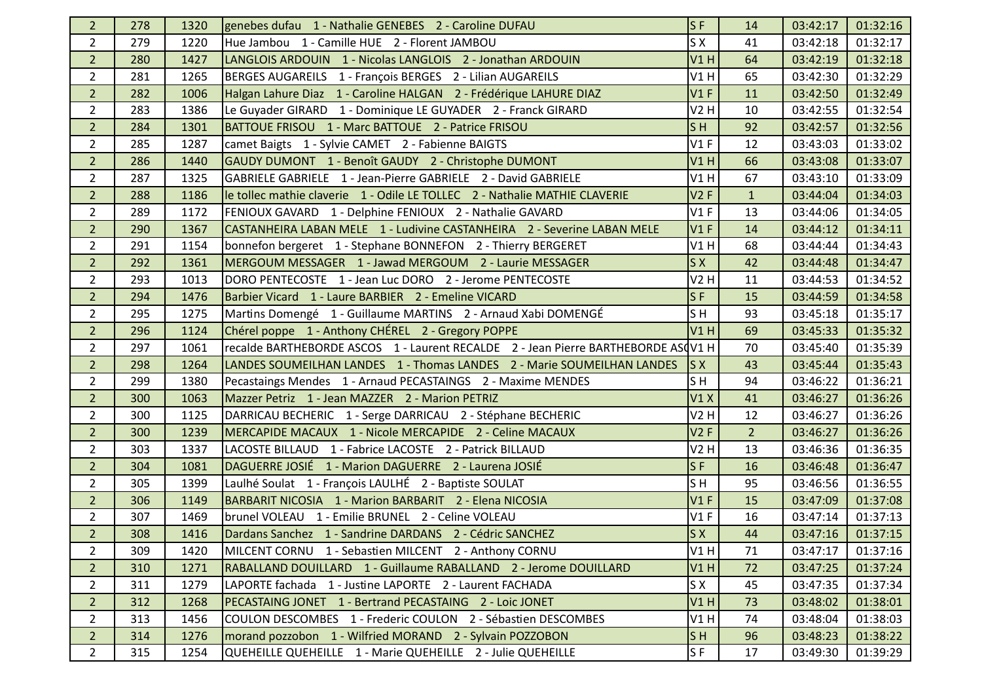| $\mathbf{2}$   | 278 | 1320 | genebes dufau 1 - Nathalie GENEBES 2 - Caroline DUFAU                             | <b>SF</b>                 | 14             | 03:42:17 | 01:32:16 |
|----------------|-----|------|-----------------------------------------------------------------------------------|---------------------------|----------------|----------|----------|
| $\overline{2}$ | 279 | 1220 | Hue Jambou 1 - Camille HUE 2 - Florent JAMBOU                                     | S X                       | 41             | 03:42:18 | 01:32:17 |
| 2 <sup>1</sup> | 280 | 1427 | LANGLOIS ARDOUIN 1 - Nicolas LANGLOIS 2 - Jonathan ARDOUIN                        | V1H                       | 64             | 03:42:19 | 01:32:18 |
| $\overline{2}$ | 281 | 1265 | BERGES AUGAREILS 1 - François BERGES 2 - Lilian AUGAREILS                         | V1H                       | 65             | 03:42:30 | 01:32:29 |
| 2 <sup>1</sup> | 282 | 1006 | Halgan Lahure Diaz 1 - Caroline HALGAN 2 - Frédérique LAHURE DIAZ                 | V1F                       | 11             | 03:42:50 | 01:32:49 |
| $\overline{2}$ | 283 | 1386 | Le Guyader GIRARD 1 - Dominique LE GUYADER 2 - Franck GIRARD                      | V2 H                      | 10             | 03:42:55 | 01:32:54 |
| 2 <sup>1</sup> | 284 | 1301 | BATTOUE FRISOU 1 - Marc BATTOUE 2 - Patrice FRISOU                                | S <sub>H</sub>            | 92             | 03:42:57 | 01:32:56 |
| $\overline{2}$ | 285 | 1287 | camet Baigts 1 - Sylvie CAMET 2 - Fabienne BAIGTS                                 | V1F                       | 12             | 03:43:03 | 01:33:02 |
| 2 <sup>1</sup> | 286 | 1440 | GAUDY DUMONT 1 - Benoît GAUDY 2 - Christophe DUMONT                               | V1H                       | 66             | 03:43:08 | 01:33:07 |
| $\overline{2}$ | 287 | 1325 | GABRIELE GABRIELE 1 - Jean-Pierre GABRIELE 2 - David GABRIELE                     | V1H                       | 67             | 03:43:10 | 01:33:09 |
| 2 <sup>1</sup> | 288 | 1186 | le tollec mathie claverie 1 - Odile LE TOLLEC 2 - Nathalie MATHIE CLAVERIE        | V2F                       | $\mathbf{1}$   | 03:44:04 | 01:34:03 |
| $\overline{2}$ | 289 | 1172 | FENIOUX GAVARD 1 - Delphine FENIOUX 2 - Nathalie GAVARD                           | V1F                       | 13             | 03:44:06 | 01:34:05 |
| 2 <sup>1</sup> | 290 | 1367 | CASTANHEIRA LABAN MELE 1 - Ludivine CASTANHEIRA 2 - Severine LABAN MELE           | V1F                       | 14             | 03:44:12 | 01:34:11 |
| $\overline{2}$ | 291 | 1154 | bonnefon bergeret 1 - Stephane BONNEFON 2 - Thierry BERGERET                      | V1H                       | 68             | 03:44:44 | 01:34:43 |
| $\overline{2}$ | 292 | 1361 | MERGOUM MESSAGER 1 - Jawad MERGOUM 2 - Laurie MESSAGER                            | SX                        | 42             | 03:44:48 | 01:34:47 |
| $\overline{2}$ | 293 | 1013 | DORO PENTECOSTE 1 - Jean Luc DORO 2 - Jerome PENTECOSTE                           | V2 H                      | 11             | 03:44:53 | 01:34:52 |
| 2 <sup>1</sup> | 294 | 1476 | Barbier Vicard 1 - Laure BARBIER 2 - Emeline VICARD                               | $S$ F                     | 15             | 03:44:59 | 01:34:58 |
| $\overline{2}$ | 295 | 1275 | Martins Domengé 1 - Guillaume MARTINS 2 - Arnaud Xabi DOMENGÉ                     | SH                        | 93             | 03:45:18 | 01:35:17 |
| $\overline{2}$ | 296 | 1124 | Chérel poppe 1 - Anthony CHÉREL 2 - Gregory POPPE                                 | V1H                       | 69             | 03:45:33 | 01:35:32 |
| $\overline{2}$ | 297 | 1061 | recalde BARTHEBORDE ASCOS 1 - Laurent RECALDE 2 - Jean Pierre BARTHEBORDE ASQV1 H |                           | 70             | 03:45:40 | 01:35:39 |
| 2 <sup>1</sup> | 298 | 1264 | LANDES SOUMEILHAN LANDES 1 - Thomas LANDES 2 - Marie SOUMEILHAN LANDES            | $\overline{\mathsf{S}}$ X | 43             | 03:45:44 | 01:35:43 |
| $\overline{2}$ | 299 | 1380 | Pecastaings Mendes 1 - Arnaud PECASTAINGS 2 - Maxime MENDES                       | SH                        | 94             | 03:46:22 | 01:36:21 |
| 2 <sup>1</sup> | 300 | 1063 | Mazzer Petriz 1 - Jean MAZZER 2 - Marion PETRIZ                                   | V1X                       | 41             | 03:46:27 | 01:36:26 |
| $\overline{2}$ | 300 | 1125 | DARRICAU BECHERIC 1 - Serge DARRICAU 2 - Stéphane BECHERIC                        | <b>V2 H</b>               | 12             | 03:46:27 | 01:36:26 |
| 2 <sup>1</sup> | 300 | 1239 | MERCAPIDE MACAUX 1 - Nicole MERCAPIDE 2 - Celine MACAUX                           | V2F                       | $\overline{2}$ | 03:46:27 | 01:36:26 |
| $\overline{2}$ | 303 | 1337 | LACOSTE BILLAUD 1 - Fabrice LACOSTE 2 - Patrick BILLAUD                           | V2 H                      | 13             | 03:46:36 | 01:36:35 |
| $\overline{2}$ | 304 | 1081 | DAGUERRE JOSIÉ 1 - Marion DAGUERRE 2 - Laurena JOSIÉ                              | $S$ F                     | 16             | 03:46:48 | 01:36:47 |
| $\overline{2}$ | 305 | 1399 | Laulhé Soulat 1 - François LAULHÉ 2 - Baptiste SOULAT                             | SH                        | 95             | 03:46:56 | 01:36:55 |
| 2 <sup>1</sup> | 306 | 1149 | BARBARIT NICOSIA 1 - Marion BARBARIT 2 - Elena NICOSIA                            | V1F                       | 15             | 03:47:09 | 01:37:08 |
| $\overline{2}$ | 307 | 1469 | brunel VOLEAU 1 - Emilie BRUNEL 2 - Celine VOLEAU                                 | V1F                       | 16             | 03:47:14 | 01:37:13 |
| $\overline{2}$ | 308 | 1416 | Dardans Sanchez 1 - Sandrine DARDANS 2 - Cédric SANCHEZ                           | ls x                      | 44             | 03:47:16 | 01:37:15 |
| $\overline{2}$ | 309 | 1420 | MILCENT CORNU 1 - Sebastien MILCENT 2 - Anthony CORNU                             | V1H                       | 71             | 03:47:17 | 01:37:16 |
| 2 <sup>1</sup> | 310 | 1271 | RABALLAND DOUILLARD 1 - Guillaume RABALLAND 2 - Jerome DOUILLARD                  | V1H                       | 72             | 03:47:25 | 01:37:24 |
| $\overline{2}$ | 311 | 1279 | LAPORTE fachada 1 - Justine LAPORTE 2 - Laurent FACHADA                           | S X                       | 45             | 03:47:35 | 01:37:34 |
| 2 <sup>1</sup> | 312 | 1268 | PECASTAING JONET 1 - Bertrand PECASTAING 2 - Loic JONET                           | V1H                       | 73             | 03:48:02 | 01:38:01 |
| $\overline{2}$ | 313 | 1456 | COULON DESCOMBES 1 - Frederic COULON 2 - Sébastien DESCOMBES                      | V1H                       | 74             | 03:48:04 | 01:38:03 |
| 2 <sup>2</sup> | 314 | 1276 | morand pozzobon 1 - Wilfried MORAND 2 - Sylvain POZZOBON                          | S <sub>H</sub>            | 96             | 03:48:23 | 01:38:22 |
| $\overline{2}$ | 315 | 1254 | QUEHEILLE QUEHEILLE 1 - Marie QUEHEILLE 2 - Julie QUEHEILLE                       | S <sub>F</sub>            | 17             | 03:49:30 | 01:39:29 |